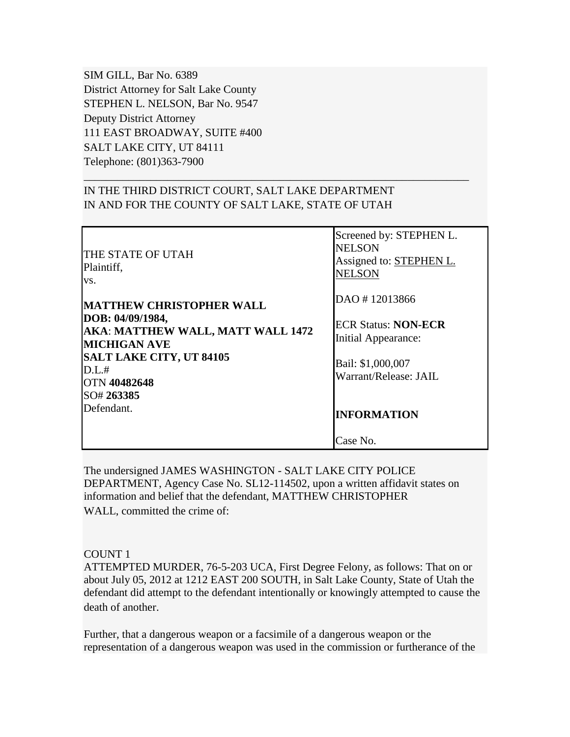SIM GILL, Bar No. 6389 District Attorney for Salt Lake County STEPHEN L. NELSON, Bar No. 9547 Deputy District Attorney 111 EAST BROADWAY, SUITE #400 SALT LAKE CITY, UT 84111 Telephone: (801)363-7900

# IN THE THIRD DISTRICT COURT, SALT LAKE DEPARTMENT IN AND FOR THE COUNTY OF SALT LAKE, STATE OF UTAH

| <b>THE STATE OF UTAH</b><br>Plaintiff,<br>VS.                                       | Screened by: STEPHEN L.<br><b>NELSON</b><br>Assigned to: <b>STEPHEN L.</b><br><b>NELSON</b> |
|-------------------------------------------------------------------------------------|---------------------------------------------------------------------------------------------|
| <b>MATTHEW CHRISTOPHER WALL</b>                                                     | DAO #12013866                                                                               |
| DOB: 04/09/1984,<br><b>AKA: MATTHEW WALL, MATT WALL 1472</b><br><b>MICHIGAN AVE</b> | <b>ECR Status: NON-ECR</b><br>Initial Appearance:                                           |
| <b>SALT LAKE CITY, UT 84105</b><br>D.L.#<br>OTN 40482648<br>SO# 263385              | Bail: \$1,000,007<br>Warrant/Release: JAIL                                                  |
| Defendant.                                                                          | <b>INFORMATION</b>                                                                          |
|                                                                                     | Case No.                                                                                    |

\_\_\_\_\_\_\_\_\_\_\_\_\_\_\_\_\_\_\_\_\_\_\_\_\_\_\_\_\_\_\_\_\_\_\_\_\_\_\_\_\_\_\_\_\_\_\_\_\_\_\_\_\_\_\_\_\_\_\_\_\_\_\_\_\_\_\_\_\_

The undersigned JAMES WASHINGTON - SALT LAKE CITY POLICE DEPARTMENT, Agency Case No. SL12-114502, upon a written affidavit states on information and belief that the defendant, MATTHEW CHRISTOPHER WALL, committed the crime of:

#### COUNT 1

ATTEMPTED MURDER, 76-5-203 UCA, First Degree Felony, as follows: That on or about July 05, 2012 at 1212 EAST 200 SOUTH, in Salt Lake County, State of Utah the defendant did attempt to the defendant intentionally or knowingly attempted to cause the death of another.

Further, that a dangerous weapon or a facsimile of a dangerous weapon or the representation of a dangerous weapon was used in the commission or furtherance of the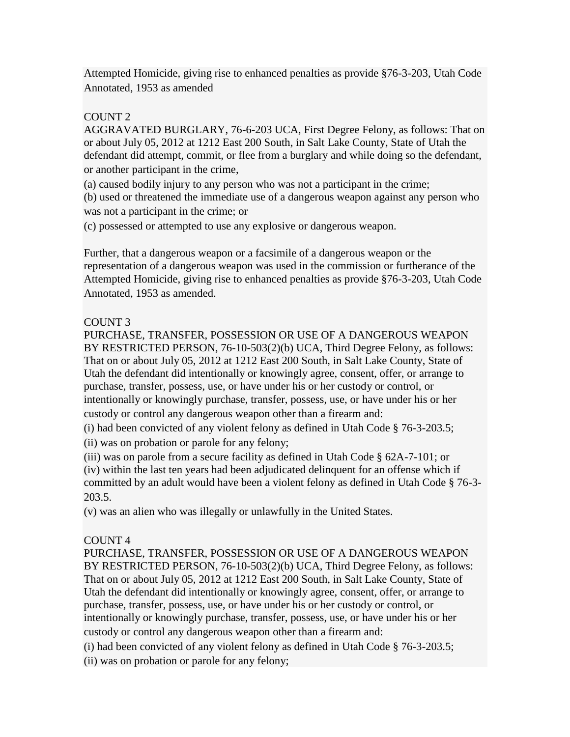Attempted Homicide, giving rise to enhanced penalties as provide §76-3-203, Utah Code Annotated, 1953 as amended

## COUNT 2

AGGRAVATED BURGLARY, 76-6-203 UCA, First Degree Felony, as follows: That on or about July 05, 2012 at 1212 East 200 South, in Salt Lake County, State of Utah the defendant did attempt, commit, or flee from a burglary and while doing so the defendant, or another participant in the crime,

(a) caused bodily injury to any person who was not a participant in the crime; (b) used or threatened the immediate use of a dangerous weapon against any person who was not a participant in the crime; or

(c) possessed or attempted to use any explosive or dangerous weapon.

Further, that a dangerous weapon or a facsimile of a dangerous weapon or the representation of a dangerous weapon was used in the commission or furtherance of the Attempted Homicide, giving rise to enhanced penalties as provide §76-3-203, Utah Code Annotated, 1953 as amended.

### COUNT 3

PURCHASE, TRANSFER, POSSESSION OR USE OF A DANGEROUS WEAPON BY RESTRICTED PERSON, 76-10-503(2)(b) UCA, Third Degree Felony, as follows: That on or about July 05, 2012 at 1212 East 200 South, in Salt Lake County, State of Utah the defendant did intentionally or knowingly agree, consent, offer, or arrange to purchase, transfer, possess, use, or have under his or her custody or control, or intentionally or knowingly purchase, transfer, possess, use, or have under his or her custody or control any dangerous weapon other than a firearm and:

(i) had been convicted of any violent felony as defined in Utah Code § 76-3-203.5; (ii) was on probation or parole for any felony;

(iii) was on parole from a secure facility as defined in Utah Code § 62A-7-101; or

(iv) within the last ten years had been adjudicated delinquent for an offense which if committed by an adult would have been a violent felony as defined in Utah Code § 76-3- 203.5.

(v) was an alien who was illegally or unlawfully in the United States.

# COUNT 4

PURCHASE, TRANSFER, POSSESSION OR USE OF A DANGEROUS WEAPON BY RESTRICTED PERSON, 76-10-503(2)(b) UCA, Third Degree Felony, as follows: That on or about July 05, 2012 at 1212 East 200 South, in Salt Lake County, State of Utah the defendant did intentionally or knowingly agree, consent, offer, or arrange to purchase, transfer, possess, use, or have under his or her custody or control, or intentionally or knowingly purchase, transfer, possess, use, or have under his or her custody or control any dangerous weapon other than a firearm and:

(i) had been convicted of any violent felony as defined in Utah Code § 76-3-203.5; (ii) was on probation or parole for any felony;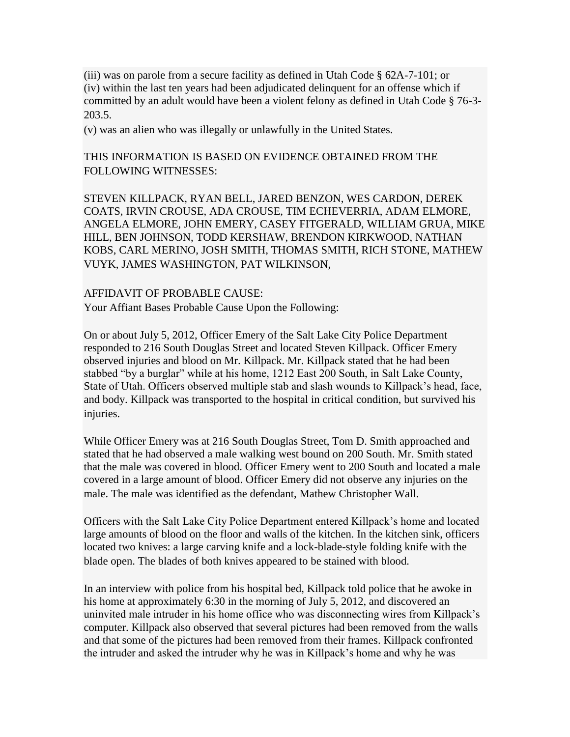(iii) was on parole from a secure facility as defined in Utah Code § 62A-7-101; or (iv) within the last ten years had been adjudicated delinquent for an offense which if committed by an adult would have been a violent felony as defined in Utah Code § 76-3- 203.5.

(v) was an alien who was illegally or unlawfully in the United States.

THIS INFORMATION IS BASED ON EVIDENCE OBTAINED FROM THE FOLLOWING WITNESSES:

STEVEN KILLPACK, RYAN BELL, JARED BENZON, WES CARDON, DEREK COATS, IRVIN CROUSE, ADA CROUSE, TIM ECHEVERRIA, ADAM ELMORE, ANGELA ELMORE, JOHN EMERY, CASEY FITGERALD, WILLIAM GRUA, MIKE HILL, BEN JOHNSON, TODD KERSHAW, BRENDON KIRKWOOD, NATHAN KOBS, CARL MERINO, JOSH SMITH, THOMAS SMITH, RICH STONE, MATHEW VUYK, JAMES WASHINGTON, PAT WILKINSON,

AFFIDAVIT OF PROBABLE CAUSE: Your Affiant Bases Probable Cause Upon the Following:

On or about July 5, 2012, Officer Emery of the Salt Lake City Police Department responded to 216 South Douglas Street and located Steven Killpack. Officer Emery observed injuries and blood on Mr. Killpack. Mr. Killpack stated that he had been stabbed "by a burglar" while at his home, 1212 East 200 South, in Salt Lake County, State of Utah. Officers observed multiple stab and slash wounds to Killpack's head, face, and body. Killpack was transported to the hospital in critical condition, but survived his injuries.

While Officer Emery was at 216 South Douglas Street, Tom D. Smith approached and stated that he had observed a male walking west bound on 200 South. Mr. Smith stated that the male was covered in blood. Officer Emery went to 200 South and located a male covered in a large amount of blood. Officer Emery did not observe any injuries on the male. The male was identified as the defendant, Mathew Christopher Wall.

Officers with the Salt Lake City Police Department entered Killpack's home and located large amounts of blood on the floor and walls of the kitchen. In the kitchen sink, officers located two knives: a large carving knife and a lock-blade-style folding knife with the blade open. The blades of both knives appeared to be stained with blood.

In an interview with police from his hospital bed, Killpack told police that he awoke in his home at approximately 6:30 in the morning of July 5, 2012, and discovered an uninvited male intruder in his home office who was disconnecting wires from Killpack's computer. Killpack also observed that several pictures had been removed from the walls and that some of the pictures had been removed from their frames. Killpack confronted the intruder and asked the intruder why he was in Killpack's home and why he was